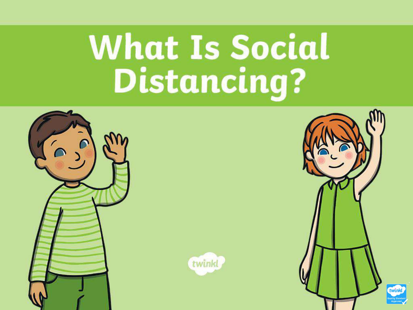# **What Is Social Distancing?**





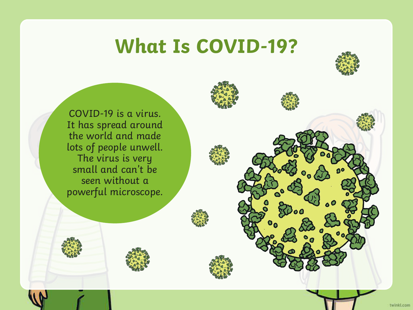#### **What Is COVID-19?**



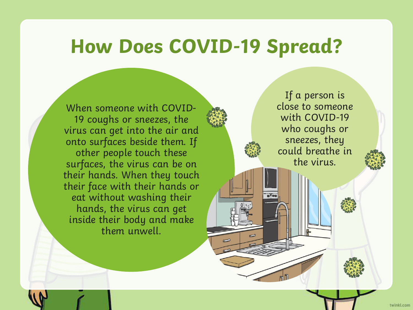#### **How Does COVID-19 Spread?**

When someone with COVID-19 coughs or sneezes, the virus can get into the air and onto surfaces beside them. If other people touch these surfaces, the virus can be on their hands. When they touch their face with their hands or eat without washing their hands, the virus can get inside their body and make them unwell.

If a person is close to someone with COVID-19 who coughs or sneezes, they could breathe in the virus.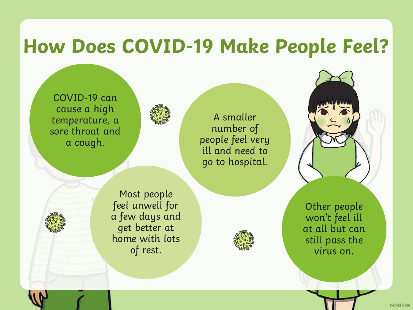#### **How Does COVID-19 Make People Feel?**

COVID-19 can cause a high temperature, a sore throat and a cough.



A smaller number of people feel very ill and need to go to hospital.

Most people feel unwell for a few days and get better at home with lots of rest.



Other people won't feel ill at all but can still pass the virus on.

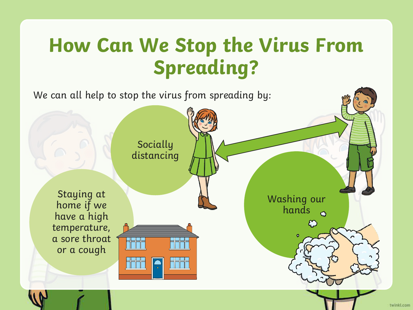#### **How Can We Stop the Virus From Spreading?**

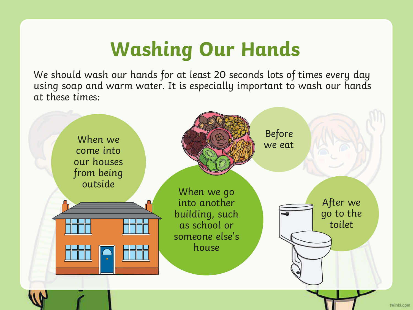## **Washing Our Hands**

We should wash our hands for at least 20 seconds lots of times every day using soap and warm water. It is especially important to wash our hands at these times:

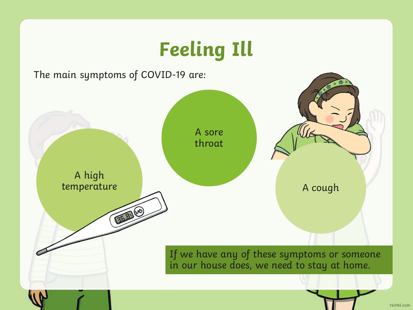### **Feeling Ill**



twinkt.com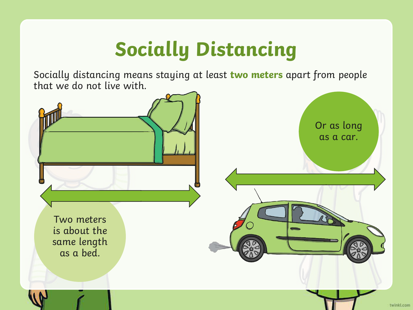# **Socially Distancing**

Socially distancing means staying at least **two meters** apart from people that we do not live with.

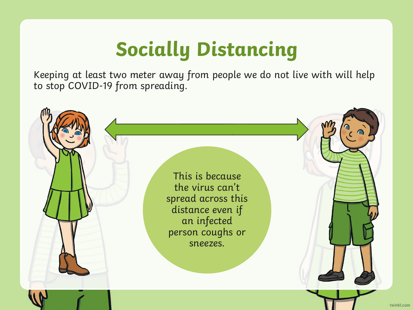# **Socially Distancing**

Keeping at least two meter away from people we do not live with will help to stop COVID-19 from spreading.

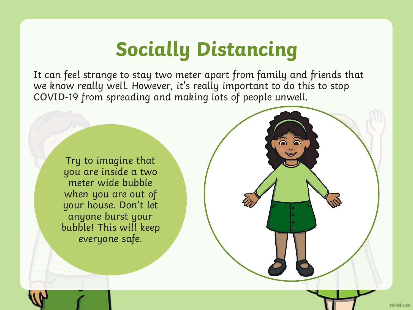## **Socially Distancing**

It can feel strange to stay two meter apart from family and friends that we know really well. However, it's really important to do this to stop COVID-19 from spreading and making lots of people unwell.

Try to imagine that you are inside a two meter wide bubble when you are out of your house. Don't let anyone burst your bubble! This will keep everyone safe.